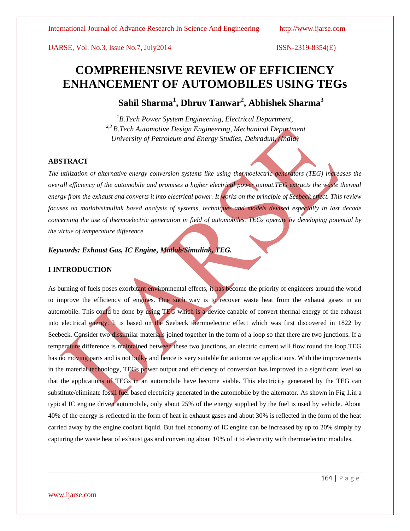IJARSE, Vol. No.3, Issue No.7, July2014 ISSN-2319-8354(E)

# **COMPREHENSIVE REVIEW OF EFFICIENCY ENHANCEMENT OF AUTOMOBILES USING TEGs**

 **Sahil Sharma<sup>1</sup> , Dhruv Tanwar<sup>2</sup> , Abhishek Sharma<sup>3</sup>**

*<sup>1</sup>B.Tech Power System Engineering, Electrical Department, 2,3 B.Tech Automotive Design Engineering, Mechanical Department University of Petroleum and Energy Studies, Dehradun, (India)*

#### **ABSTRACT**

*The utilization of alternative energy conversion systems like using thermoelectric generators (TEG) increases the overall efficiency of the automobile and promises a higher electrical power output.TEG extracts the waste thermal energy from the exhaust and converts it into electrical power. It works on the principle of Seebeck effect. This review focuses on matlab/simulink based analysis of systems, techniques and models devised especially in last decade concerning the use of thermoelectric generation in field of automobiles. TEGs operate by developing potential by the virtue of temperature difference.*

# *Keywords: Exhaust Gas, IC Engine, Matlab/Simulink, TEG.*

# **I INTRODUCTION**

As burning of fuels poses exorbitant environmental effects, it has become the priority of engineers around the world to improve the efficiency of engines. One such way is to recover waste heat from the exhaust gases in an automobile. This could be done by using TEG which is a device capable of convert thermal energy of the exhaust into electrical energy. It is based on the Seebeck thermoelectric effect which was first discovered in 1822 by Seebeck. Consider two dissimilar materials joined together in the form of a loop so that there are two junctions. If a temperature difference is maintained between these two junctions, an electric current will flow round the loop.TEG has no moving parts and is not bulky and hence is very suitable for automotive applications. With the improvements in the material technology, TEGs power output and efficiency of conversion has improved to a significant level so that the applications of TEGs in an automobile have become viable. This electricity generated by the TEG can substitute/eliminate fossil fuel based electricity generated in the automobile by the alternator. As shown in Fig 1.in a typical IC engine driven automobile, only about 25% of the energy supplied by the fuel is used by vehicle. About 40% of the energy is reflected in the form of heat in exhaust gases and about 30% is reflected in the form of the heat carried away by the engine coolant liquid. But fuel economy of IC engine can be increased by up to 20% simply by capturing the waste heat of exhaust gas and converting about 10% of it to electricity with thermoelectric modules.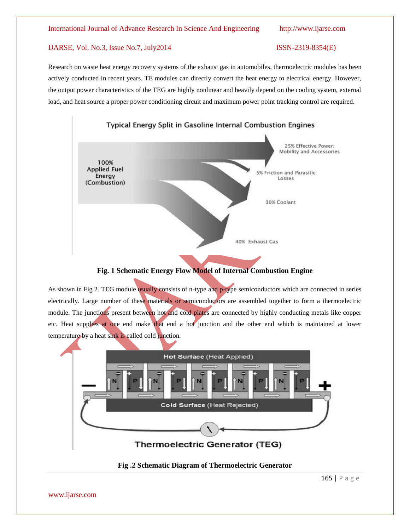#### International Journal of Advance Research In Science And Engineering http://www.ijarse.com

### IJARSE, Vol. No.3, Issue No.7, July2014 ISSN-2319-8354(E)

Research on waste heat energy recovery systems of the exhaust gas in automobiles, thermoelectric modules has been actively conducted in recent years. TE modules can directly convert the heat energy to electrical energy. However, the output power characteristics of the TEG are highly nonlinear and heavily depend on the cooling system, external load, and heat source a proper power conditioning circuit and maximum power point tracking control are required.



# **Fig. 1 Schematic Energy Flow Model of Internal Combustion Engine**

As shown in Fig 2. TEG module usually consists of n-type and p-type semiconductors which are connected in series electrically. Large number of these materials or semiconductors are assembled together to form a thermoelectric module. The junctions present between hot and cold plates are connected by highly conducting metals like copper etc. Heat supplies at one end make that end a hot junction and the other end which is maintained at lower temperature by a heat sink is called cold junction.



### **Fig .2 Schematic Diagram of Thermoelectric Generator**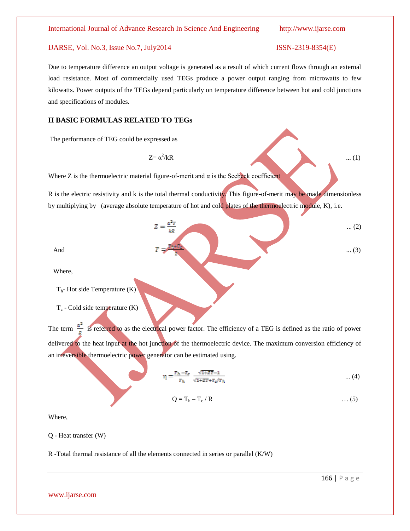#### International Journal of Advance Research In Science And Engineering http://www.ijarse.com

### IJARSE, Vol. No.3, Issue No.7, July2014 ISSN-2319-8354(E)

Due to temperature difference an output voltage is generated as a result of which current flows through an external load resistance. Most of commercially used TEGs produce a power output ranging from microwatts to few kilowatts. Power outputs of the TEGs depend particularly on temperature difference between hot and cold junctions and specifications of modules.

#### **II BASIC FORMULAS RELATED TO TEGs**

The performance of TEG could be expressed as

 $Z = \alpha^2 / kR$  $/kR$  ... (1)

Where  $Z$  is the thermoelectric material figure-of-merit and  $\alpha$  is the Seebeck coefficient

R is the electric resistivity and k is the total thermal conductivity. This figure-of-merit may be made dimensionless by multiplying by (average absolute temperature of hot and cold plates of the thermoelectric module, K), i.e.

$$
Z = \frac{a^2 T}{kR}
$$
 ... (2)  

$$
T = \frac{a^2 T}{kR}
$$
 ... (3)

Where,

 $T<sub>h</sub>$ - Hot side Temperature (K)

 $T_c$  - Cold side temperature  $(K)$ 

The term  $\frac{\alpha^2}{n}$  is referred to as the electrical power factor. The efficiency of a TEG is defined as the ratio of power delivered to the heat input at the hot junction of the thermoelectric device. The maximum conversion efficiency of an irreversible thermoelectric power generator can be estimated using.

$$
\eta = \frac{T_h - T_c}{T_h} \frac{\sqrt{1 + 2T} - 1}{\sqrt{1 + 2T} + T_c/T_h} \tag{4}
$$

$$
Q = T_h - T_c / R \qquad \qquad \dots (5)
$$

Where,

Q - Heat transfer (W)

R -Total thermal resistance of all the elements connected in series or parallel (K/W)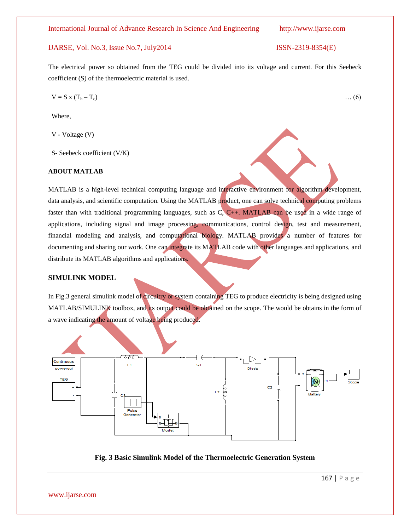International Journal of Advance Research In Science And Engineering http://www.ijarse.com

### IJARSE, Vol. No.3, Issue No.7, July2014 ISSN-2319-8354(E)

The electrical power so obtained from the TEG could be divided into its voltage and current. For this Seebeck coefficient (S) of the thermoelectric material is used.

$$
V = S x (T_h - T_c) \qquad \qquad \dots (6)
$$

Where,

V - Voltage (V)

S- Seebeck coefficient (V/K)

#### **ABOUT MATLAB**

MATLAB is a high-level technical computing language and interactive environment for algorithm development, data analysis, and scientific computation. Using the MATLAB product, one can solve technical computing problems faster than with traditional programming languages, such as C, C++. MATLAB can be used in a wide range of applications, including signal and image processing, communications, control design, test and measurement, financial modeling and analysis, and computational biology. MATLAB provides a number of features for documenting and sharing our work. One can integrate its MATLAB code with other languages and applications, and distribute its MATLAB algorithms and applications.

# **SIMULINK MODEL**

In Fig.3 general simulink model of circuitry or system containing TEG to produce electricity is being designed using MATLAB/SIMULINK toolbox, and its output could be obtained on the scope. The would be obtains in the form of a wave indicating the amount of voltage being produced.



**Fig. 3 Basic Simulink Model of the Thermoelectric Generation System**

www.ijarse.com